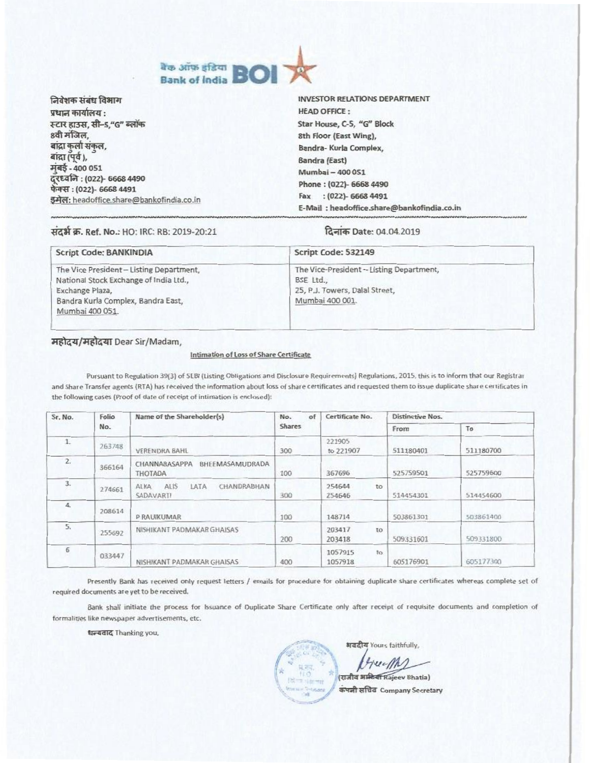

| निवेशक संबंध विभाग                                      | <b>INVESTOR RELATIONS DEPARTMENT</b>       |
|---------------------------------------------------------|--------------------------------------------|
| प्रधान कार्यालय :                                       | <b>HEAD OFFICE:</b>                        |
| स्टार हाउस, सी–5,"G" ब्लॉक                              | Star House, C-5, "G" Block                 |
| 8वी मंजिल,                                              | 8th Floor (East Wing),                     |
| बाद्रा कुलो सकल,                                        | Bandra- Kurla Complex,                     |
| बांद्रा (पूर्व ),<br>मंबई - 400 051                     | Bandra (East)                              |
|                                                         | Mumbai - 400 051                           |
| दूरध्वनि : (022)- 6668 4490<br>फेक्स : (022)- 6668 4491 | Phone: (022)- 6668 4490                    |
| इमेल: headoffice.share@bankofindia.co.in                | $(022) - 66684491$<br>Fax                  |
|                                                         | E-Mail: headoffice.share@bankofindia.co.in |

### संदर्भ क्र. Ref. No.: HO: IRC: RB: 2019-20:21

#### दिनांक Date: 04.04.2019

| <b>Script Code: BANKINDIA</b>            | Script Code: 532149                      |  |  |
|------------------------------------------|------------------------------------------|--|--|
| The Vice President - Listing Department, | The Vice-President - Listing Department, |  |  |
| National Stock Exchange of India Ltd.,   | BSE Ltd                                  |  |  |
| Exchange Plaza,                          | 25, P.J. Towers, Dalal Street,           |  |  |
| Bandra Kurla Complex, Bandra East,       | Mumbai 400 001.                          |  |  |
| Mumbai 400 051.                          |                                          |  |  |

#### महोदय/महोदया Dear Sir/Madam,

### Intimation of Loss of Share Certificate

Pursuant to Regulation 39(3) of SEBI (Listing Obligations and Disclosure Requirements) Regulations, 2015, this is to inform that our Registrar and Share Transfer agents (RTA) has received the information about loss of share certificates and requested them to issue duplicate share certificates in the following cases (Proof of date of receipt of intimation is enclosed):

| Sr. No.        | Folio<br>No. | Name of the Shareholder(s)                                          | of<br>No.<br><b>Shares</b> | Certificate No.           | <b>Distinctive Nos.</b> |           |
|----------------|--------------|---------------------------------------------------------------------|----------------------------|---------------------------|-------------------------|-----------|
|                |              |                                                                     |                            |                           | From                    | To        |
| 1              | 263748       | <b>VERENDRA BAHL</b>                                                | 300                        | 221905<br>to 221907       | 511180401               | 511180700 |
| $\overline{2}$ | 366164       | CHANNABASAPPA<br>BHEEMASAMUDRADA<br><b>THOTADA</b>                  | 100                        | 367696                    | 525759501               | 525759600 |
| 3.             | 274661       | <b>LATA</b><br>CHANDRABHAN<br>ALIS <sub></sub><br>ALKA<br>SADAVARTI | 300                        | 254644<br>to<br>254646    | 514454301               | 514454600 |
| 4.             | 208614       | <b>P.RAUIKUMAR</b>                                                  | 100                        | 148714                    | 503861301               | 503861400 |
| 5.             | 255692       | NISHIKANT PADMAKAR GHAISAS                                          | 200                        | 203417<br>TO:<br>203418   | 509331601               | 509331800 |
| 6              | 033447       | NISHIKANT PADMAKAR GHAISAS                                          | 400                        | 1057915<br>to:<br>1057918 | 605176901               | 605177300 |

Presently Bank has received only request letters / emails for procedure for obtaining duplicate share certificates whereas complete set of required documents are yet to be received.

Bank shall initiate the process for Issuance of Duplicate Share Certificate only after receipt of requisite documents and completion of formalities like newspaper advertisements, etc.

धन्यवाद Thanking you,

अवदीय Yours faithfully,

bruch2 (राजीव अम्<del>रिया</del> Rajeev Bhatia)

कंपनी सचिव Company Secretary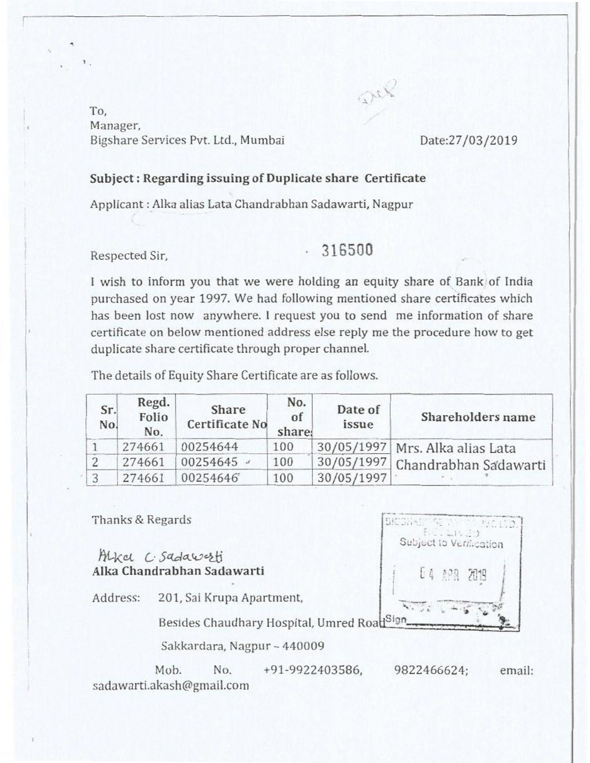To, Manager, Bigshare Services Pvt. Ltd., Mumbai Date:27/03/2019

## **Subject : Regarding issuing of Duplicate share** Certificate

Applicant : Alka alias Lata Chandrabhan Sadawarti, Nagpur

# Respected Sir, **16500**

Dep

I wish to inform you that we were holding an equity share of Bank of India purchased on year 1997. We had following mentioned share certificates which has been lost now anywhere. **I** request you to send me information of share certificate on below mentioned address else reply me the procedure how to get duplicate share certificate through proper channel.

The details of Equity Share Certificate are as follows.

| Sr.<br>No. | Regd.<br>Folio<br>No. | Share<br>Certificate No | No.<br>of<br>share: | Date of<br>issue | Shareholders name                 |  |  |
|------------|-----------------------|-------------------------|---------------------|------------------|-----------------------------------|--|--|
|            | 274661                | 00254644                | 100                 |                  | 30/05/1997   Mrs. Alka alias Lata |  |  |
|            | 274661                | $00254645$ -            | 100                 |                  | 30/05/1997 Chandrabhan Sadawarti  |  |  |
|            | 274661                | 00254646                | 100                 | 30/05/1997       |                                   |  |  |

Thanks & Regards

Alkel C. Sadawerti Alka Chandrabhan Sadawarti

Address: 201, Sai Krupa Apartment,

Besides Chaudhary Hospital, Umred Road<sup>Sign</sup>

Sakkardara, Nagpur - 440009

Mob. No. +91-9922403586, 9822466624; email: sadawarti.akash@gmail.com